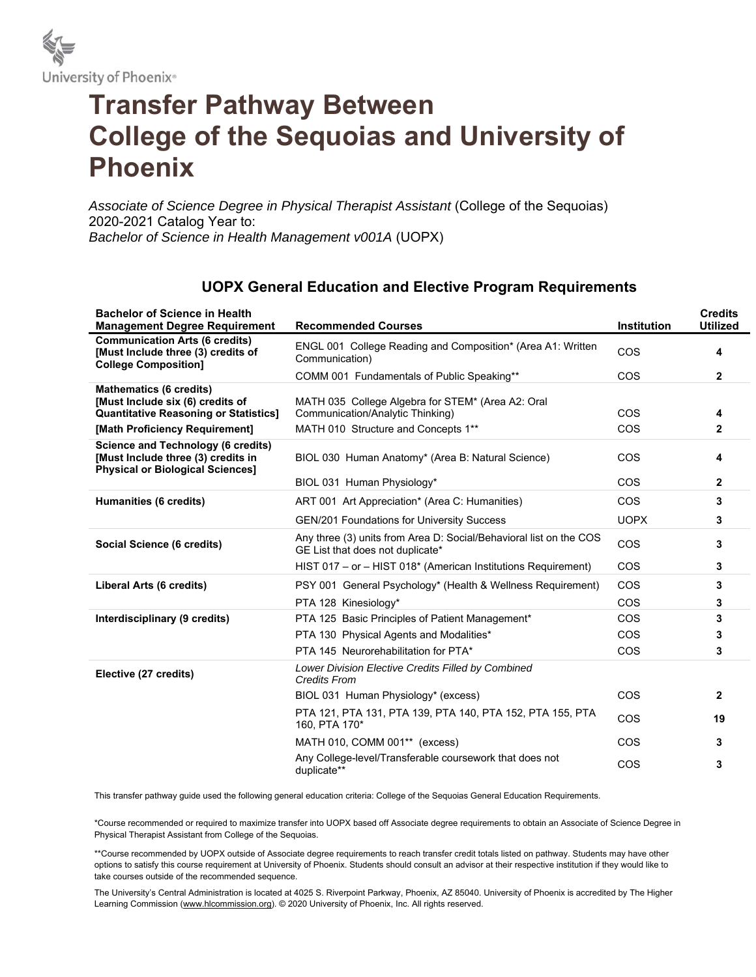

## **Transfer Pathway Between College of the Sequoias and University of Phoenix**

*Associate of Science Degree in Physical Therapist Assistant* (College of the Sequoias) 2020-2021 Catalog Year to: *Bachelor of Science in Health Management v001A* (UOPX)

## **UOPX General Education and Elective Program Requirements**

| <b>Bachelor of Science in Health</b><br><b>Management Degree Requirement</b>                                               | <b>Recommended Courses</b>                                                                             | <b>Institution</b> | <b>Credits</b><br><b>Utilized</b> |
|----------------------------------------------------------------------------------------------------------------------------|--------------------------------------------------------------------------------------------------------|--------------------|-----------------------------------|
| <b>Communication Arts (6 credits)</b><br>[Must Include three (3) credits of<br><b>College Composition]</b>                 | ENGL 001 College Reading and Composition* (Area A1: Written<br>Communication)                          | COS                | 4                                 |
|                                                                                                                            | COMM 001 Fundamentals of Public Speaking**                                                             | <b>COS</b>         | $\mathbf{2}$                      |
| <b>Mathematics (6 credits)</b><br>[Must Include six (6) credits of<br><b>Quantitative Reasoning or Statistics]</b>         | MATH 035 College Algebra for STEM* (Area A2: Oral<br>Communication/Analytic Thinking)                  | <b>COS</b>         | 4                                 |
| [Math Proficiency Requirement]                                                                                             | MATH 010 Structure and Concepts 1**                                                                    | COS                | $\mathbf{2}$                      |
| <b>Science and Technology (6 credits)</b><br>[Must Include three (3) credits in<br><b>Physical or Biological Sciences]</b> | BIOL 030 Human Anatomy* (Area B: Natural Science)                                                      | <b>COS</b>         | 4                                 |
|                                                                                                                            | BIOL 031 Human Physiology*                                                                             | COS                | $\mathbf{2}$                      |
| Humanities (6 credits)                                                                                                     | ART 001 Art Appreciation* (Area C: Humanities)                                                         | <b>COS</b>         | 3                                 |
|                                                                                                                            | <b>GEN/201 Foundations for University Success</b>                                                      | <b>UOPX</b>        | 3                                 |
| Social Science (6 credits)                                                                                                 | Any three (3) units from Area D: Social/Behavioral list on the COS<br>GE List that does not duplicate* | COS                | 3                                 |
|                                                                                                                            | HIST 017 - or - HIST 018* (American Institutions Requirement)                                          | COS                | 3                                 |
| Liberal Arts (6 credits)                                                                                                   | PSY 001 General Psychology* (Health & Wellness Requirement)                                            | COS                | 3                                 |
|                                                                                                                            | PTA 128 Kinesiology*                                                                                   | <b>COS</b>         | 3                                 |
| Interdisciplinary (9 credits)                                                                                              | PTA 125 Basic Principles of Patient Management*                                                        | <b>COS</b>         | 3                                 |
|                                                                                                                            | PTA 130 Physical Agents and Modalities*                                                                | <b>COS</b>         | 3                                 |
|                                                                                                                            | PTA 145 Neurorehabilitation for PTA*                                                                   | <b>COS</b>         | 3                                 |
| Elective (27 credits)                                                                                                      | Lower Division Elective Credits Filled by Combined<br><b>Credits From</b>                              |                    |                                   |
|                                                                                                                            | BIOL 031 Human Physiology* (excess)                                                                    | COS                | $\mathbf{2}$                      |
|                                                                                                                            | PTA 121, PTA 131, PTA 139, PTA 140, PTA 152, PTA 155, PTA<br>160, PTA 170*                             | COS                | 19                                |
|                                                                                                                            | MATH 010, COMM 001** (excess)                                                                          | <b>COS</b>         | 3                                 |
|                                                                                                                            | Any College-level/Transferable coursework that does not<br>duplicate**                                 | COS                | 3                                 |

This transfer pathway guide used the following general education criteria: College of the Sequoias General Education Requirements.

\*Course recommended or required to maximize transfer into UOPX based off Associate degree requirements to obtain an Associate of Science Degree in Physical Therapist Assistant from College of the Sequoias.

\*\*Course recommended by UOPX outside of Associate degree requirements to reach transfer credit totals listed on pathway. Students may have other options to satisfy this course requirement at University of Phoenix. Students should consult an advisor at their respective institution if they would like to take courses outside of the recommended sequence.

The University's Central Administration is located at 4025 S. Riverpoint Parkway, Phoenix, AZ 85040. University of Phoenix is accredited by The Higher Learning Commission (www.hlcommission.org). © 2020 University of Phoenix, Inc. All rights reserved.